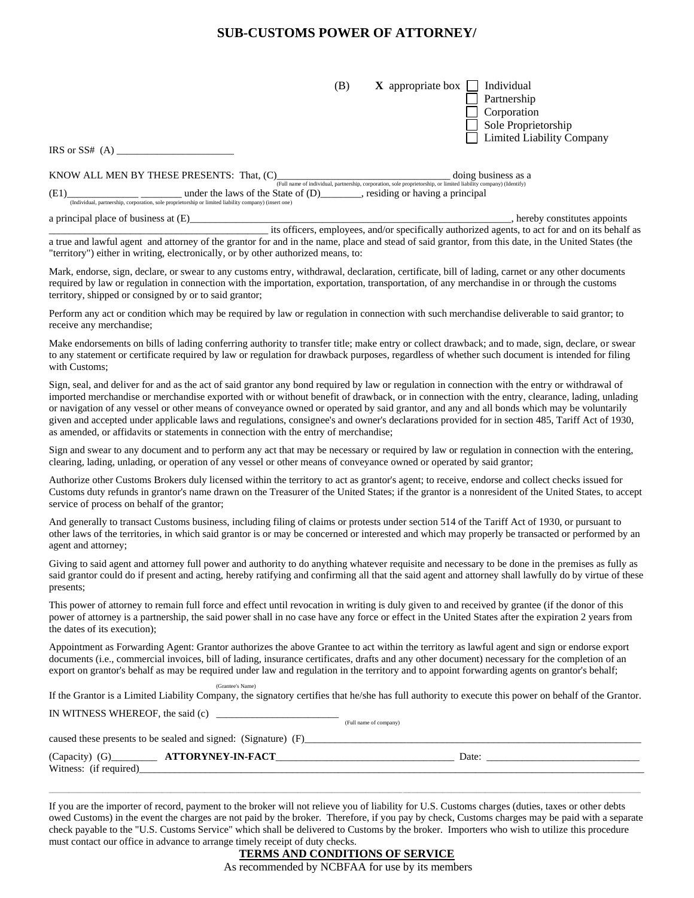# **SUB-CUSTOMS POWER OF ATTORNEY/**

| (B)                                                                                                                                                                                                                                                                                         | Individual<br>$\bf{X}$ appropriate box                                                                                                   |
|---------------------------------------------------------------------------------------------------------------------------------------------------------------------------------------------------------------------------------------------------------------------------------------------|------------------------------------------------------------------------------------------------------------------------------------------|
|                                                                                                                                                                                                                                                                                             | Partnership                                                                                                                              |
|                                                                                                                                                                                                                                                                                             | Corporation                                                                                                                              |
|                                                                                                                                                                                                                                                                                             | Sole Proprietorship                                                                                                                      |
|                                                                                                                                                                                                                                                                                             | <b>Limited Liability Company</b>                                                                                                         |
| IRS or $SS#$ (A)                                                                                                                                                                                                                                                                            |                                                                                                                                          |
| KNOW ALL MEN BY THESE PRESENTS: That, (C)                                                                                                                                                                                                                                                   | doing business as a<br>(Full name of individual, partnership, corporation, sole proprietorship, or limited liability company) (Identify) |
| (E1)<br>under the laws of the State of $(D)$ , residing or having a principal<br>(Individual, partnership, corporation, sole proprietorship or limited liability company) (insert one)                                                                                                      |                                                                                                                                          |
| a principal place of business at $(E)$                                                                                                                                                                                                                                                      | , hereby constitutes appoints                                                                                                            |
|                                                                                                                                                                                                                                                                                             | its officers, employees, and/or specifically authorized agents, to act for and on its behalf as                                          |
| a true and lawful agent and attorney of the grantor for and in the name, place and stead of said grantor, from this date, in the United States (the<br>"territory") either in writing, electronically, or by other authorized means, to:                                                    |                                                                                                                                          |
| Mark, endorse, sign, declare, or swear to any customs entry, withdrawal, declaration, certificate, bill of lading, carnet or any other documents<br>required by law or requision in connection with the importation expertation transportation of any merchandice in or through the quotame |                                                                                                                                          |

required by law or regulation in connection with the importation, exportation, transportation, of any merchandise in or through the customs territory, shipped or consigned by or to said grantor;

Perform any act or condition which may be required by law or regulation in connection with such merchandise deliverable to said grantor; to receive any merchandise;

Make endorsements on bills of lading conferring authority to transfer title; make entry or collect drawback; and to made, sign, declare, or swear to any statement or certificate required by law or regulation for drawback purposes, regardless of whether such document is intended for filing with Customs;

Sign, seal, and deliver for and as the act of said grantor any bond required by law or regulation in connection with the entry or withdrawal of imported merchandise or merchandise exported with or without benefit of drawback, or in connection with the entry, clearance, lading, unlading or navigation of any vessel or other means of conveyance owned or operated by said grantor, and any and all bonds which may be voluntarily given and accepted under applicable laws and regulations, consignee's and owner's declarations provided for in section 485, Tariff Act of 1930, as amended, or affidavits or statements in connection with the entry of merchandise;

Sign and swear to any document and to perform any act that may be necessary or required by law or regulation in connection with the entering, clearing, lading, unlading, or operation of any vessel or other means of conveyance owned or operated by said grantor;

Authorize other Customs Brokers duly licensed within the territory to act as grantor's agent; to receive, endorse and collect checks issued for Customs duty refunds in grantor's name drawn on the Treasurer of the United States; if the grantor is a nonresident of the United States, to accept service of process on behalf of the grantor;

And generally to transact Customs business, including filing of claims or protests under section 514 of the Tariff Act of 1930, or pursuant to other laws of the territories, in which said grantor is or may be concerned or interested and which may properly be transacted or performed by an agent and attorney;

Giving to said agent and attorney full power and authority to do anything whatever requisite and necessary to be done in the premises as fully as said grantor could do if present and acting, hereby ratifying and confirming all that the said agent and attorney shall lawfully do by virtue of these presents;

This power of attorney to remain full force and effect until revocation in writing is duly given to and received by grantee (if the donor of this power of attorney is a partnership, the said power shall in no case have any force or effect in the United States after the expiration 2 years from the dates of its execution);

Appointment as Forwarding Agent: Grantor authorizes the above Grantee to act within the territory as lawful agent and sign or endorse export documents (i.e., commercial invoices, bill of lading, insurance certificates, drafts and any other document) necessary for the completion of an export on grantor's behalf as may be required under law and regulation in the territory and to appoint forwarding agents on grantor's behalf;

If the Grantor is a Limited Liability Company, the signatory certifies that he/she has full authority to execute this power on behalf of the Grantor.

IN WITNESS WHEREOF, the said  $(c)$   $\qquad \qquad$ 

(Grantee's Name)

caused these presents to be sealed and signed: (Signature) (F)

| (Capacity)            | <b>J.FACT</b><br>TTD <sub>0</sub><br>. . IN<br>the contract of the contract of the contract of the contract of the contract of the contract of the contract of | Date: |  |
|-----------------------|----------------------------------------------------------------------------------------------------------------------------------------------------------------|-------|--|
| Witness:<br>required. |                                                                                                                                                                |       |  |

If you are the importer of record, payment to the broker will not relieve you of liability for U.S. Customs charges (duties, taxes or other debts owed Customs) in the event the charges are not paid by the broker. Therefore, if you pay by check, Customs charges may be paid with a separate check payable to the "U.S. Customs Service" which shall be delivered to Customs by the broker. Importers who wish to utilize this procedure must contact our office in advance to arrange timely receipt of duty checks.

\_\_\_\_\_\_\_\_\_\_\_\_\_\_\_\_\_\_\_\_\_\_\_\_\_\_\_\_\_\_\_\_\_\_\_\_\_\_\_\_\_\_\_\_\_\_\_\_\_\_\_\_\_\_\_\_\_\_\_\_\_\_\_\_\_\_\_\_\_\_\_\_\_\_\_\_\_\_\_\_\_\_\_\_\_\_\_\_\_\_\_\_\_\_\_\_\_\_\_\_\_\_\_\_\_\_\_\_\_\_\_\_\_\_\_\_\_\_\_\_\_\_\_\_\_\_\_\_\_\_\_\_\_\_\_\_\_\_\_\_\_\_\_\_\_\_\_\_\_\_\_\_\_\_\_\_\_\_\_\_\_\_\_\_\_\_\_\_\_\_\_\_\_\_\_\_\_\_\_\_\_\_\_\_\_\_\_\_\_\_\_\_\_\_\_\_\_\_\_\_\_\_\_\_\_\_\_\_\_

# **TERMS AND CONDITIONS OF SERVICE**

As recommended by NCBFAA for use by its members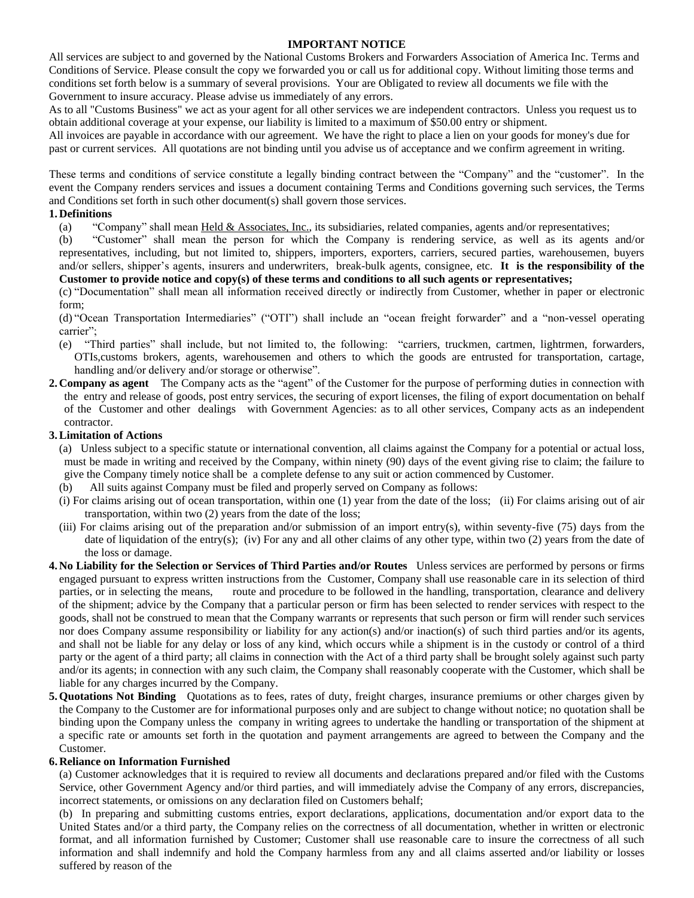### **IMPORTANT NOTICE**

All services are subject to and governed by the National Customs Brokers and Forwarders Association of America Inc. Terms and Conditions of Service. Please consult the copy we forwarded you or call us for additional copy. Without limiting those terms and conditions set forth below is a summary of several provisions. Your are Obligated to review all documents we file with the Government to insure accuracy. Please advise us immediately of any errors.

As to all "Customs Business" we act as your agent for all other services we are independent contractors. Unless you request us to obtain additional coverage at your expense, our liability is limited to a maximum of \$50.00 entry or shipment.

All invoices are payable in accordance with our agreement. We have the right to place a lien on your goods for money's due for past or current services. All quotations are not binding until you advise us of acceptance and we confirm agreement in writing.

These terms and conditions of service constitute a legally binding contract between the "Company" and the "customer". In the event the Company renders services and issues a document containing Terms and Conditions governing such services, the Terms and Conditions set forth in such other document(s) shall govern those services.

### **1. Definitions**

(a) "Company" shall mean Held & Associates, Inc., its subsidiaries, related companies, agents and/or representatives;

(b) "Customer" shall mean the person for which the Company is rendering service, as well as its agents and/or representatives, including, but not limited to, shippers, importers, exporters, carriers, secured parties, warehousemen, buyers and/or sellers, shipper's agents, insurers and underwriters, break-bulk agents, consignee, etc. **It is the responsibility of the Customer to provide notice and copy(s) of these terms and conditions to all such agents or representatives;**

(c) "Documentation" shall mean all information received directly or indirectly from Customer, whether in paper or electronic form;

(d) "Ocean Transportation Intermediaries" ("OTI") shall include an "ocean freight forwarder" and a "non-vessel operating carrier";

- (e) "Third parties" shall include, but not limited to, the following: "carriers, truckmen, cartmen, lightrmen, forwarders, OTIs,customs brokers, agents, warehousemen and others to which the goods are entrusted for transportation, cartage, handling and/or delivery and/or storage or otherwise".
- **2. Company as agent** The Company acts as the "agent" of the Customer for the purpose of performing duties in connection with the entry and release of goods, post entry services, the securing of export licenses, the filing of export documentation on behalf of the Customer and other dealings with Government Agencies: as to all other services, Company acts as an independent contractor.

### **3.Limitation of Actions**

- (a) Unless subject to a specific statute or international convention, all claims against the Company for a potential or actual loss, must be made in writing and received by the Company, within ninety (90) days of the event giving rise to claim; the failure to give the Company timely notice shall be a complete defense to any suit or action commenced by Customer.
- All suits against Company must be filed and properly served on Company as follows:
- (i) For claims arising out of ocean transportation, within one (1) year from the date of the loss; (ii) For claims arising out of air transportation, within two (2) years from the date of the loss;
- (iii) For claims arising out of the preparation and/or submission of an import entry(s), within seventy-five (75) days from the date of liquidation of the entry(s); (iv) For any and all other claims of any other type, within two (2) years from the date of the loss or damage.
- **4. No Liability for the Selection or Services of Third Parties and/or Routes** Unless services are performed by persons or firms engaged pursuant to express written instructions from the Customer, Company shall use reasonable care in its selection of third parties, or in selecting the means, route and procedure to be followed in the handling, transportation, clearance and delivery of the shipment; advice by the Company that a particular person or firm has been selected to render services with respect to the goods, shall not be construed to mean that the Company warrants or represents that such person or firm will render such services nor does Company assume responsibility or liability for any action(s) and/or inaction(s) of such third parties and/or its agents, and shall not be liable for any delay or loss of any kind, which occurs while a shipment is in the custody or control of a third party or the agent of a third party; all claims in connection with the Act of a third party shall be brought solely against such party and/or its agents; in connection with any such claim, the Company shall reasonably cooperate with the Customer, which shall be liable for any charges incurred by the Company.
- **5.Quotations Not Binding** Quotations as to fees, rates of duty, freight charges, insurance premiums or other charges given by the Company to the Customer are for informational purposes only and are subject to change without notice; no quotation shall be binding upon the Company unless the company in writing agrees to undertake the handling or transportation of the shipment at a specific rate or amounts set forth in the quotation and payment arrangements are agreed to between the Company and the Customer.

### **6. Reliance on Information Furnished**

(a) Customer acknowledges that it is required to review all documents and declarations prepared and/or filed with the Customs Service, other Government Agency and/or third parties, and will immediately advise the Company of any errors, discrepancies, incorrect statements, or omissions on any declaration filed on Customers behalf;

(b) In preparing and submitting customs entries, export declarations, applications, documentation and/or export data to the United States and/or a third party, the Company relies on the correctness of all documentation, whether in written or electronic format, and all information furnished by Customer; Customer shall use reasonable care to insure the correctness of all such information and shall indemnify and hold the Company harmless from any and all claims asserted and/or liability or losses suffered by reason of the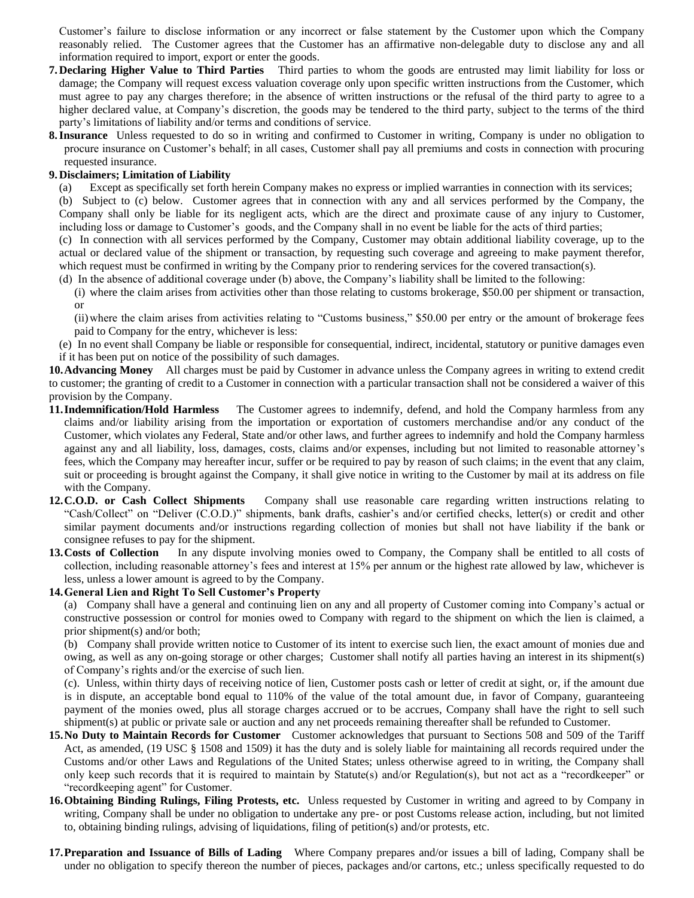Customer's failure to disclose information or any incorrect or false statement by the Customer upon which the Company reasonably relied. The Customer agrees that the Customer has an affirmative non-delegable duty to disclose any and all information required to import, export or enter the goods.

- **7. Declaring Higher Value to Third Parties** Third parties to whom the goods are entrusted may limit liability for loss or damage; the Company will request excess valuation coverage only upon specific written instructions from the Customer, which must agree to pay any charges therefore; in the absence of written instructions or the refusal of the third party to agree to a higher declared value, at Company's discretion, the goods may be tendered to the third party, subject to the terms of the third party's limitations of liability and/or terms and conditions of service.
- **8.Insurance** Unless requested to do so in writing and confirmed to Customer in writing, Company is under no obligation to procure insurance on Customer's behalf; in all cases, Customer shall pay all premiums and costs in connection with procuring requested insurance.

#### **9. Disclaimers; Limitation of Liability**

- (a) Except as specifically set forth herein Company makes no express or implied warranties in connection with its services;
- (b) Subject to (c) below. Customer agrees that in connection with any and all services performed by the Company, the Company shall only be liable for its negligent acts, which are the direct and proximate cause of any injury to Customer, including loss or damage to Customer's goods, and the Company shall in no event be liable for the acts of third parties;

(c) In connection with all services performed by the Company, Customer may obtain additional liability coverage, up to the actual or declared value of the shipment or transaction, by requesting such coverage and agreeing to make payment therefor, which request must be confirmed in writing by the Company prior to rendering services for the covered transaction(s).

- (d) In the absence of additional coverage under (b) above, the Company's liability shall be limited to the following:
	- (i) where the claim arises from activities other than those relating to customs brokerage, \$50.00 per shipment or transaction, or

(ii)where the claim arises from activities relating to "Customs business," \$50.00 per entry or the amount of brokerage fees paid to Company for the entry, whichever is less:

(e) In no event shall Company be liable or responsible for consequential, indirect, incidental, statutory or punitive damages even if it has been put on notice of the possibility of such damages.

**10.Advancing Money** All charges must be paid by Customer in advance unless the Company agrees in writing to extend credit to customer; the granting of credit to a Customer in connection with a particular transaction shall not be considered a waiver of this provision by the Company.

- **11.Indemnification/Hold Harmless** The Customer agrees to indemnify, defend, and hold the Company harmless from any claims and/or liability arising from the importation or exportation of customers merchandise and/or any conduct of the Customer, which violates any Federal, State and/or other laws, and further agrees to indemnify and hold the Company harmless against any and all liability, loss, damages, costs, claims and/or expenses, including but not limited to reasonable attorney's fees, which the Company may hereafter incur, suffer or be required to pay by reason of such claims; in the event that any claim, suit or proceeding is brought against the Company, it shall give notice in writing to the Customer by mail at its address on file with the Company.
- **12.C.O.D. or Cash Collect Shipments** Company shall use reasonable care regarding written instructions relating to "Cash/Collect" on "Deliver (C.O.D.)" shipments, bank drafts, cashier's and/or certified checks, letter(s) or credit and other similar payment documents and/or instructions regarding collection of monies but shall not have liability if the bank or consignee refuses to pay for the shipment.
- **13.Costs of Collection** In any dispute involving monies owed to Company, the Company shall be entitled to all costs of collection, including reasonable attorney's fees and interest at 15% per annum or the highest rate allowed by law, whichever is less, unless a lower amount is agreed to by the Company.

### **14.General Lien and Right To Sell Customer's Property**

(a) Company shall have a general and continuing lien on any and all property of Customer coming into Company's actual or constructive possession or control for monies owed to Company with regard to the shipment on which the lien is claimed, a prior shipment(s) and/or both;

(b) Company shall provide written notice to Customer of its intent to exercise such lien, the exact amount of monies due and owing, as well as any on-going storage or other charges; Customer shall notify all parties having an interest in its shipment(s) of Company's rights and/or the exercise of such lien.

(c). Unless, within thirty days of receiving notice of lien, Customer posts cash or letter of credit at sight, or, if the amount due is in dispute, an acceptable bond equal to 110% of the value of the total amount due, in favor of Company, guaranteeing payment of the monies owed, plus all storage charges accrued or to be accrues, Company shall have the right to sell such shipment(s) at public or private sale or auction and any net proceeds remaining thereafter shall be refunded to Customer.

- **15.No Duty to Maintain Records for Customer** Customer acknowledges that pursuant to Sections 508 and 509 of the Tariff Act, as amended, (19 USC § 1508 and 1509) it has the duty and is solely liable for maintaining all records required under the Customs and/or other Laws and Regulations of the United States; unless otherwise agreed to in writing, the Company shall only keep such records that it is required to maintain by Statute(s) and/or Regulation(s), but not act as a "recordkeeper" or "recordkeeping agent" for Customer.
- **16.Obtaining Binding Rulings, Filing Protests, etc.** Unless requested by Customer in writing and agreed to by Company in writing, Company shall be under no obligation to undertake any pre- or post Customs release action, including, but not limited to, obtaining binding rulings, advising of liquidations, filing of petition(s) and/or protests, etc.
- **17.Preparation and Issuance of Bills of Lading** Where Company prepares and/or issues a bill of lading, Company shall be under no obligation to specify thereon the number of pieces, packages and/or cartons, etc.; unless specifically requested to do